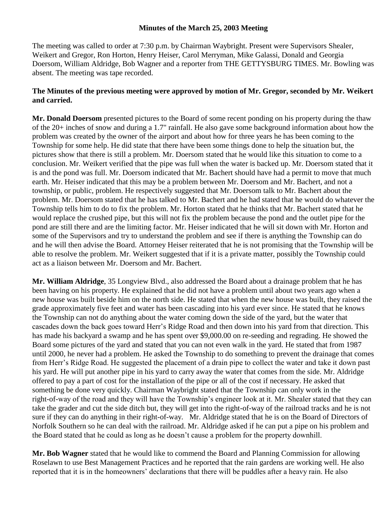## **Minutes of the March 25, 2003 Meeting**

The meeting was called to order at 7:30 p.m. by Chairman Waybright. Present were Supervisors Shealer, Weikert and Gregor, Ron Horton, Henry Heiser, Carol Merryman, Mike Galassi, Donald and Georgia Doersom, William Aldridge, Bob Wagner and a reporter from THE GETTYSBURG TIMES. Mr. Bowling was absent. The meeting was tape recorded.

## **The Minutes of the previous meeting were approved by motion of Mr. Gregor, seconded by Mr. Weikert and carried.**

**Mr. Donald Doersom** presented pictures to the Board of some recent ponding on his property during the thaw of the 20+ inches of snow and during a 1.7" rainfall. He also gave some background information about how the problem was created by the owner of the airport and about how for three years he has been coming to the Township for some help. He did state that there have been some things done to help the situation but, the pictures show that there is still a problem. Mr. Doersom stated that he would like this situation to come to a conclusion. Mr. Weikert verified that the pipe was full when the water is backed up. Mr. Doersom stated that it is and the pond was full. Mr. Doersom indicated that Mr. Bachert should have had a permit to move that much earth. Mr. Heiser indicated that this may be a problem between Mr. Doersom and Mr. Bachert, and not a township, or public, problem. He respectively suggested that Mr. Doersom talk to Mr. Bachert about the problem. Mr. Doersom stated that he has talked to Mr. Bachert and he had stated that he would do whatever the Township tells him to do to fix the problem. Mr. Horton stated that he thinks that Mr. Bachert stated that he would replace the crushed pipe, but this will not fix the problem because the pond and the outlet pipe for the pond are still there and are the limiting factor. Mr. Heiser indicated that he will sit down with Mr. Horton and some of the Supervisors and try to understand the problem and see if there is anything the Township can do and he will then advise the Board. Attorney Heiser reiterated that he is not promising that the Township will be able to resolve the problem. Mr. Weikert suggested that if it is a private matter, possibly the Township could act as a liaison between Mr. Doersom and Mr. Bachert.

**Mr. William Aldridge**, 35 Longview Blvd., also addressed the Board about a drainage problem that he has been having on his property. He explained that he did not have a problem until about two years ago when a new house was built beside him on the north side. He stated that when the new house was built, they raised the grade approximately five feet and water has been cascading into his yard ever since. He stated that he knows the Township can not do anything about the water coming down the side of the yard, but the water that cascades down the back goes toward Herr's Ridge Road and then down into his yard from that direction. This has made his backyard a swamp and he has spent over \$9,000.00 on re-seeding and regrading. He showed the Board some pictures of the yard and stated that you can not even walk in the yard. He stated that from 1987 until 2000, he never had a problem. He asked the Township to do something to prevent the drainage that comes from Herr's Ridge Road. He suggested the placement of a drain pipe to collect the water and take it down past his yard. He will put another pipe in his yard to carry away the water that comes from the side. Mr. Aldridge offered to pay a part of cost for the installation of the pipe or all of the cost if necessary. He asked that something be done very quickly. Chairman Waybright stated that the Township can only work in the right-of-way of the road and they will have the Township's engineer look at it. Mr. Shealer stated that they can take the grader and cut the side ditch but, they will get into the right-of-way of the railroad tracks and he is not sure if they can do anything in their right-of-way. Mr. Aldridge stated that he is on the Board of Directors of Norfolk Southern so he can deal with the railroad. Mr. Aldridge asked if he can put a pipe on his problem and the Board stated that he could as long as he doesn't cause a problem for the property downhill.

**Mr. Bob Wagner** stated that he would like to commend the Board and Planning Commission for allowing Roselawn to use Best Management Practices and he reported that the rain gardens are working well. He also reported that it is in the homeowners' declarations that there will be puddles after a heavy rain. He also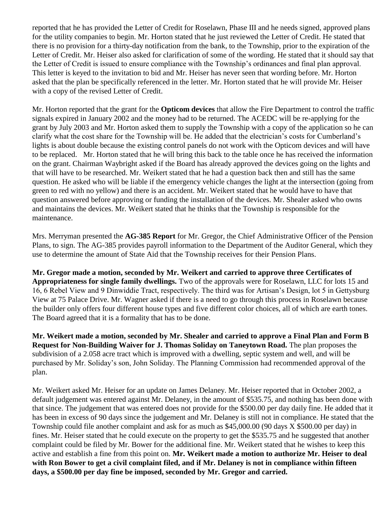reported that he has provided the Letter of Credit for Roselawn, Phase III and he needs signed, approved plans for the utility companies to begin. Mr. Horton stated that he just reviewed the Letter of Credit. He stated that there is no provision for a thirty-day notification from the bank, to the Township, prior to the expiration of the Letter of Credit. Mr. Heiser also asked for clarification of some of the wording. He stated that it should say that the Letter of Credit is issued to ensure compliance with the Township's ordinances and final plan approval. This letter is keyed to the invitation to bid and Mr. Heiser has never seen that wording before. Mr. Horton asked that the plan be specifically referenced in the letter. Mr. Horton stated that he will provide Mr. Heiser with a copy of the revised Letter of Credit.

Mr. Horton reported that the grant for the **Opticom devices** that allow the Fire Department to control the traffic signals expired in January 2002 and the money had to be returned. The ACEDC will be re-applying for the grant by July 2003 and Mr. Horton asked them to supply the Township with a copy of the application so he can clarify what the cost share for the Township will be. He added that the electrician's costs for Cumberland's lights is about double because the existing control panels do not work with the Opticom devices and will have to be replaced. Mr. Horton stated that he will bring this back to the table once he has received the information on the grant. Chairman Waybright asked if the Board has already approved the devices going on the lights and that will have to be researched. Mr. Weikert stated that he had a question back then and still has the same question. He asked who will be liable if the emergency vehicle changes the light at the intersection (going from green to red with no yellow) and there is an accident. Mr. Weikert stated that he would have to have that question answered before approving or funding the installation of the devices. Mr. Shealer asked who owns and maintains the devices. Mr. Weikert stated that he thinks that the Township is responsible for the maintenance.

Mrs. Merryman presented the **AG-385 Report** for Mr. Gregor, the Chief Administrative Officer of the Pension Plans, to sign. The AG-385 provides payroll information to the Department of the Auditor General, which they use to determine the amount of State Aid that the Township receives for their Pension Plans.

**Mr. Gregor made a motion, seconded by Mr. Weikert and carried to approve three Certificates of Appropriateness for single family dwellings.** Two of the approvals were for Roselawn, LLC for lots 15 and 16, 6 Rebel View and 9 Dinwiddie Tract, respectively. The third was for Artisan's Design, lot 5 in Gettysburg View at 75 Palace Drive. Mr. Wagner asked if there is a need to go through this process in Roselawn because the builder only offers four different house types and five different color choices, all of which are earth tones. The Board agreed that it is a formality that has to be done.

**Mr. Weikert made a motion, seconded by Mr. Shealer and carried to approve a Final Plan and Form B Request for Non-Building Waiver for J. Thomas Soliday on Taneytown Road.** The plan proposes the subdivision of a 2.058 acre tract which is improved with a dwelling, septic system and well, and will be purchased by Mr. Soliday's son, John Soliday. The Planning Commission had recommended approval of the plan.

Mr. Weikert asked Mr. Heiser for an update on James Delaney. Mr. Heiser reported that in October 2002, a default judgement was entered against Mr. Delaney, in the amount of \$535.75, and nothing has been done with that since. The judgement that was entered does not provide for the \$500.00 per day daily fine. He added that it has been in excess of 90 days since the judgement and Mr. Delaney is still not in compliance. He stated that the Township could file another complaint and ask for as much as \$45,000.00 (90 days X \$500.00 per day) in fines. Mr. Heiser stated that he could execute on the property to get the \$535.75 and he suggested that another complaint could be filed by Mr. Bower for the additional fine. Mr. Weikert stated that he wishes to keep this active and establish a fine from this point on. **Mr. Weikert made a motion to authorize Mr. Heiser to deal with Ron Bower to get a civil complaint filed, and if Mr. Delaney is not in compliance within fifteen days, a \$500.00 per day fine be imposed, seconded by Mr. Gregor and carried.**